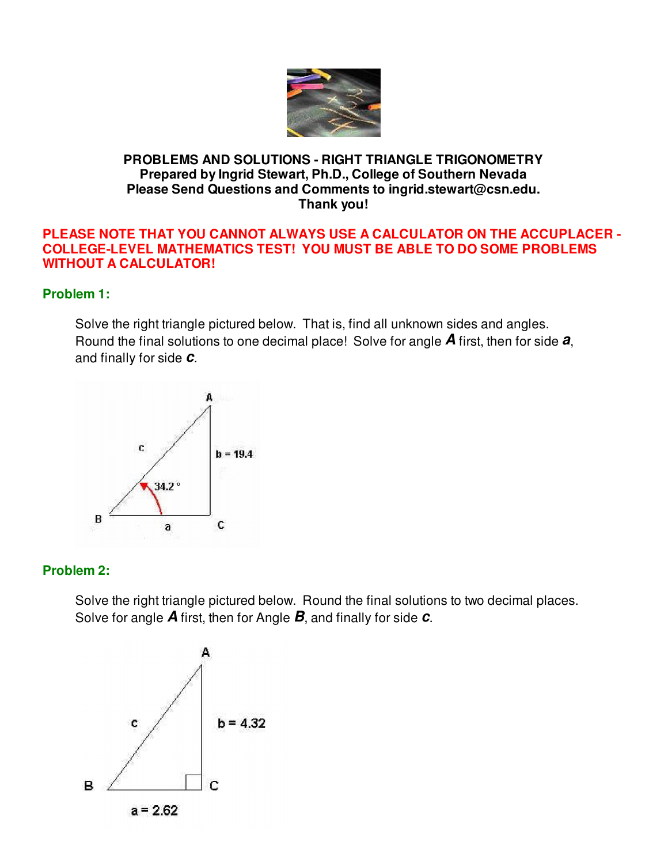

## **PROBLEMS AND SOLUTIONS - RIGHT TRIANGLE TRIGONOMETRY Prepared by Ingrid Stewart, Ph.D., College of Southern Nevada Please Send Questions and Comments to ingrid.stewart@csn.edu. Thank you!**

### **PLEASE NOTE THAT YOU CANNOT ALWAYS USE A CALCULATOR ON THE ACCUPLACER - COLLEGE-LEVEL MATHEMATICS TEST! YOU MUST BE ABLE TO DO SOME PROBLEMS WITHOUT A CALCULATOR!**

## **Problem 1:**

Solve the right triangle pictured below. That is, find all unknown sides and angles. Round the final solutions to one decimal place! Solve for angle **A** first, then for side **a**, and finally for side **c**.



### **Problem 2:**

Solve the right triangle pictured below. Round the final solutions to two decimal places. Solve for angle **A** first, then for Angle **B**, and finally for side **c**.



 $a = 2.62$